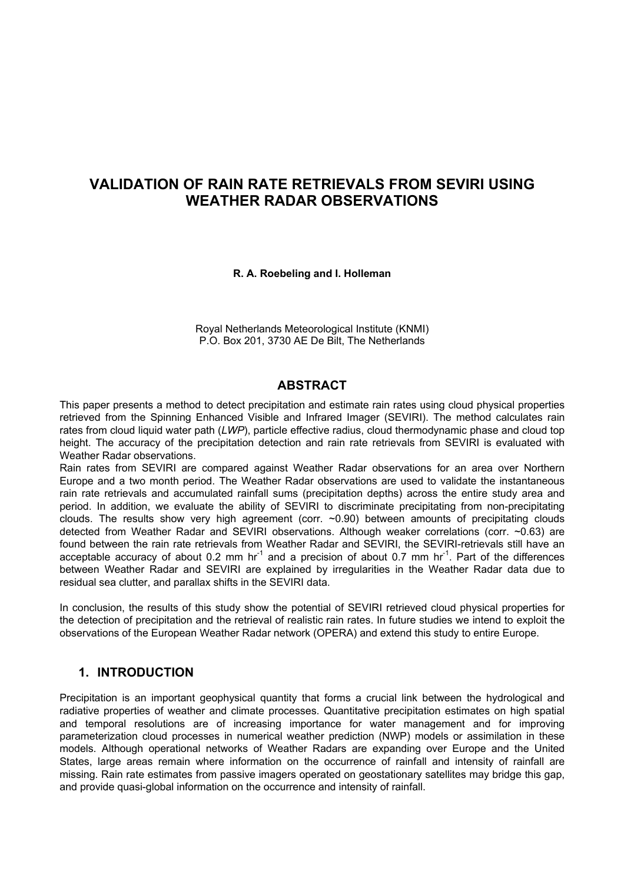# **VALIDATION OF RAIN RATE RETRIEVALS FROM SEVIRI USING WEATHER RADAR OBSERVATIONS**

#### **R. A. Roebeling and I. Holleman**

Royal Netherlands Meteorological Institute (KNMI) P.O. Box 201, 3730 AE De Bilt, The Netherlands

### **ABSTRACT**

This paper presents a method to detect precipitation and estimate rain rates using cloud physical properties retrieved from the Spinning Enhanced Visible and Infrared Imager (SEVIRI). The method calculates rain rates from cloud liquid water path (*LWP*), particle effective radius, cloud thermodynamic phase and cloud top height. The accuracy of the precipitation detection and rain rate retrievals from SEVIRI is evaluated with Weather Radar observations.

Rain rates from SEVIRI are compared against Weather Radar observations for an area over Northern Europe and a two month period. The Weather Radar observations are used to validate the instantaneous rain rate retrievals and accumulated rainfall sums (precipitation depths) across the entire study area and period. In addition, we evaluate the ability of SEVIRI to discriminate precipitating from non-precipitating clouds. The results show very high agreement (corr. ~0.90) between amounts of precipitating clouds detected from Weather Radar and SEVIRI observations. Although weaker correlations (corr. ~0.63) are found between the rain rate retrievals from Weather Radar and SEVIRI, the SEVIRI-retrievals still have an acceptable accuracy of about 0.2 mm  $hr^{-1}$  and a precision of about 0.7 mm  $hr^{-1}$ . Part of the differences between Weather Radar and SEVIRI are explained by irregularities in the Weather Radar data due to residual sea clutter, and parallax shifts in the SEVIRI data.

In conclusion, the results of this study show the potential of SEVIRI retrieved cloud physical properties for the detection of precipitation and the retrieval of realistic rain rates. In future studies we intend to exploit the observations of the European Weather Radar network (OPERA) and extend this study to entire Europe.

### **1. INTRODUCTION**

Precipitation is an important geophysical quantity that forms a crucial link between the hydrological and radiative properties of weather and climate processes. Quantitative precipitation estimates on high spatial and temporal resolutions are of increasing importance for water management and for improving parameterization cloud processes in numerical weather prediction (NWP) models or assimilation in these models. Although operational networks of Weather Radars are expanding over Europe and the United States, large areas remain where information on the occurrence of rainfall and intensity of rainfall are missing. Rain rate estimates from passive imagers operated on geostationary satellites may bridge this gap, and provide quasi-global information on the occurrence and intensity of rainfall.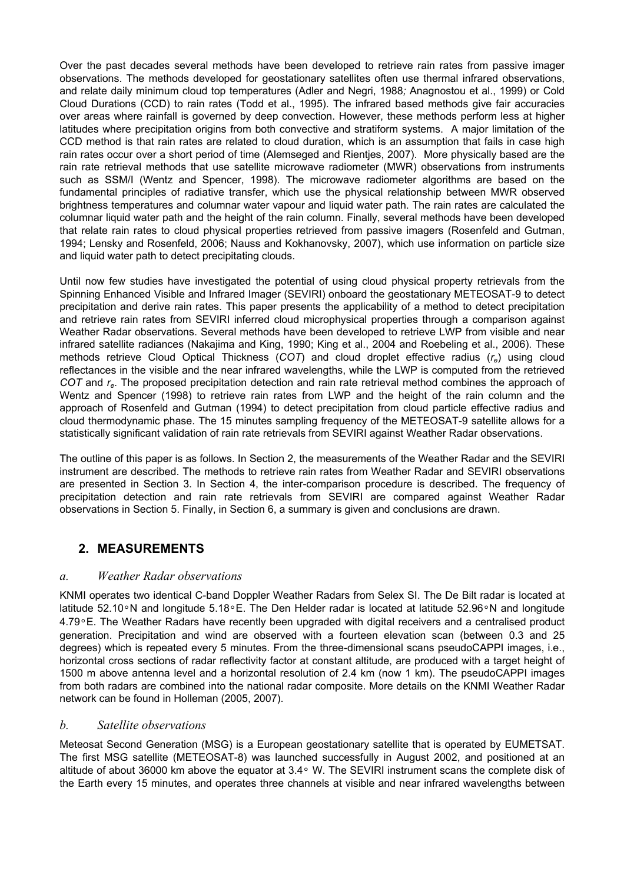Over the past decades several methods have been developed to retrieve rain rates from passive imager observations. The methods developed for geostationary satellites often use thermal infrared observations, and relate daily minimum cloud top temperatures (Adler and Negri, 1988*;* Anagnostou et al., 1999) or Cold Cloud Durations (CCD) to rain rates (Todd et al., 1995). The infrared based methods give fair accuracies over areas where rainfall is governed by deep convection. However, these methods perform less at higher latitudes where precipitation origins from both convective and stratiform systems. A major limitation of the CCD method is that rain rates are related to cloud duration, which is an assumption that fails in case high rain rates occur over a short period of time (Alemseged and Rientjes, 2007). More physically based are the rain rate retrieval methods that use satellite microwave radiometer (MWR) observations from instruments such as SSM/I (Wentz and Spencer, 1998). The microwave radiometer algorithms are based on the fundamental principles of radiative transfer, which use the physical relationship between MWR observed brightness temperatures and columnar water vapour and liquid water path. The rain rates are calculated the columnar liquid water path and the height of the rain column. Finally, several methods have been developed that relate rain rates to cloud physical properties retrieved from passive imagers (Rosenfeld and Gutman, 1994; Lensky and Rosenfeld, 2006; Nauss and Kokhanovsky, 2007), which use information on particle size and liquid water path to detect precipitating clouds.

Until now few studies have investigated the potential of using cloud physical property retrievals from the Spinning Enhanced Visible and Infrared Imager (SEVIRI) onboard the geostationary METEOSAT-9 to detect precipitation and derive rain rates. This paper presents the applicability of a method to detect precipitation and retrieve rain rates from SEVIRI inferred cloud microphysical properties through a comparison against Weather Radar observations. Several methods have been developed to retrieve LWP from visible and near infrared satellite radiances (Nakajima and King, 1990; King et al., 2004 and Roebeling et al., 2006). These methods retrieve Cloud Optical Thickness (*COT*) and cloud droplet effective radius (*re*) using cloud reflectances in the visible and the near infrared wavelengths, while the LWP is computed from the retrieved *COT* and *re*. The proposed precipitation detection and rain rate retrieval method combines the approach of Wentz and Spencer (1998) to retrieve rain rates from LWP and the height of the rain column and the approach of Rosenfeld and Gutman (1994) to detect precipitation from cloud particle effective radius and cloud thermodynamic phase. The 15 minutes sampling frequency of the METEOSAT-9 satellite allows for a statistically significant validation of rain rate retrievals from SEVIRI against Weather Radar observations.

The outline of this paper is as follows. In Section 2, the measurements of the Weather Radar and the SEVIRI instrument are described. The methods to retrieve rain rates from Weather Radar and SEVIRI observations are presented in Section 3. In Section 4, the inter-comparison procedure is described. The frequency of precipitation detection and rain rate retrievals from SEVIRI are compared against Weather Radar observations in Section 5. Finally, in Section 6, a summary is given and conclusions are drawn.

## **2. MEASUREMENTS**

### *a. Weather Radar observations*

KNMI operates two identical C-band Doppler Weather Radars from Selex SI. The De Bilt radar is located at latitude 52.10°N and longitude 5.18°E. The Den Helder radar is located at latitude 52.96°N and longitude 4.79°E. The Weather Radars have recently been upgraded with digital receivers and a centralised product generation. Precipitation and wind are observed with a fourteen elevation scan (between 0.3 and 25 degrees) which is repeated every 5 minutes. From the three-dimensional scans pseudoCAPPI images, i.e., horizontal cross sections of radar reflectivity factor at constant altitude, are produced with a target height of 1500 m above antenna level and a horizontal resolution of 2.4 km (now 1 km). The pseudoCAPPI images from both radars are combined into the national radar composite. More details on the KNMI Weather Radar network can be found in Holleman (2005, 2007).

### *b. Satellite observations*

Meteosat Second Generation (MSG) is a European geostationary satellite that is operated by EUMETSAT. The first MSG satellite (METEOSAT-8) was launched successfully in August 2002, and positioned at an altitude of about 36000 km above the equator at 3.4° W. The SEVIRI instrument scans the complete disk of the Earth every 15 minutes, and operates three channels at visible and near infrared wavelengths between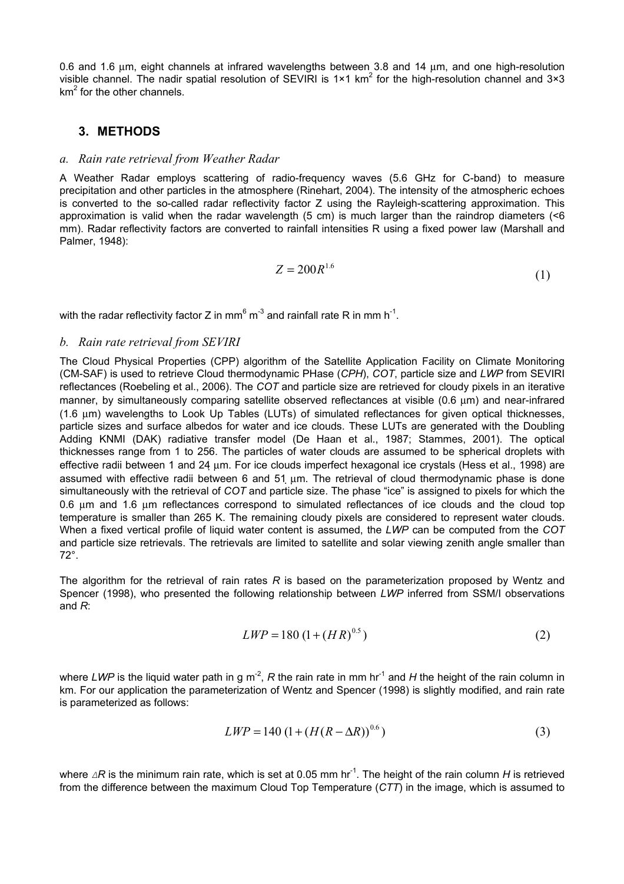0.6 and 1.6 µm, eight channels at infrared wavelengths between 3.8 and 14 µm, and one high-resolution visible channel. The nadir spatial resolution of SEVIRI is 1×1 km<sup>2</sup> for the high-resolution channel and 3×3  $km<sup>2</sup>$  for the other channels.

### **3. METHODS**

#### *a. Rain rate retrieval from Weather Radar*

A Weather Radar employs scattering of radio-frequency waves (5.6 GHz for C-band) to measure precipitation and other particles in the atmosphere (Rinehart, 2004). The intensity of the atmospheric echoes is converted to the so-called radar reflectivity factor Z using the Rayleigh-scattering approximation. This approximation is valid when the radar wavelength (5 cm) is much larger than the raindrop diameters  $\leq 6$ mm). Radar reflectivity factors are converted to rainfall intensities R using a fixed power law (Marshall and Palmer, 1948):

$$
Z = 200R^{1.6} \tag{1}
$$

with the radar reflectivity factor Z in mm<sup>6</sup> m<sup>-3</sup> and rainfall rate R in mm h<sup>-1</sup>.

#### *b. Rain rate retrieval from SEVIRI*

The Cloud Physical Properties (CPP) algorithm of the Satellite Application Facility on Climate Monitoring (CM-SAF) is used to retrieve Cloud thermodynamic PHase (*CPH*), *COT*, particle size and *LWP* from SEVIRI reflectances (Roebeling et al., 2006). The *COT* and particle size are retrieved for cloudy pixels in an iterative manner, by simultaneously comparing satellite observed reflectances at visible (0.6 um) and near-infrared (1.6 µm) wavelengths to Look Up Tables (LUTs) of simulated reflectances for given optical thicknesses, particle sizes and surface albedos for water and ice clouds. These LUTs are generated with the Doubling Adding KNMI (DAK) radiative transfer model (De Haan et al., 1987; Stammes, 2001). The optical thicknesses range from 1 to 256. The particles of water clouds are assumed to be spherical droplets with effective radii between 1 and 24 µm. For ice clouds imperfect hexagonal ice crystals (Hess et al., 1998) are assumed with effective radii between 6 and 51 µm. The retrieval of cloud thermodynamic phase is done simultaneously with the retrieval of *COT* and particle size. The phase "ice" is assigned to pixels for which the 0.6 µm and 1.6 µm reflectances correspond to simulated reflectances of ice clouds and the cloud top temperature is smaller than 265 K. The remaining cloudy pixels are considered to represent water clouds. When a fixed vertical profile of liquid water content is assumed, the *LWP* can be computed from the *COT* and particle size retrievals. The retrievals are limited to satellite and solar viewing zenith angle smaller than 72°.

The algorithm for the retrieval of rain rates *R* is based on the parameterization proposed by Wentz and Spencer (1998), who presented the following relationship between *LWP* inferred from SSM/I observations and *R*:

$$
LWP = 180 \left(1 + (HR)^{0.5}\right) \tag{2}
$$

where *LWP* is the liquid water path in g m<sup>-2</sup>, *R* the rain rate in mm hr<sup>-1</sup> and *H* the height of the rain column in km. For our application the parameterization of Wentz and Spencer (1998) is slightly modified, and rain rate is parameterized as follows:

$$
LWP = 140 \left(1 + (H(R - \Delta R))^{0.6}\right) \tag{3}
$$

where *∆R* is the minimum rain rate, which is set at 0.05 mm hr<sup>-1</sup>. The height of the rain column *H* is retrieved from the difference between the maximum Cloud Top Temperature (*CTT*) in the image, which is assumed to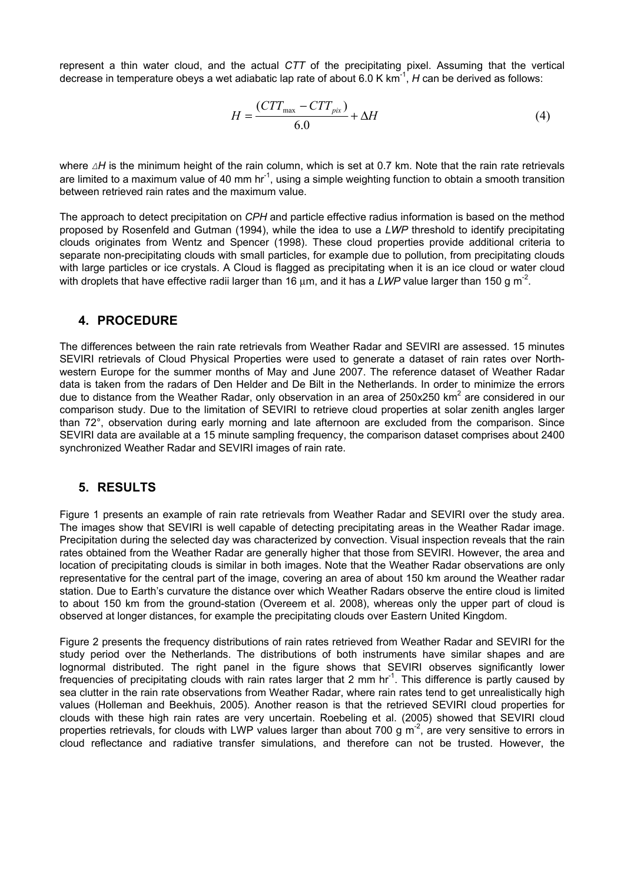represent a thin water cloud, and the actual *CTT* of the precipitating pixel. Assuming that the vertical decrease in temperature obeys a wet adiabatic lap rate of about 6.0 K km<sup>-1</sup>, *H* can be derived as follows:

$$
H = \frac{(CTT_{\text{max}} - CTT_{\text{pix}})}{6.0} + \Delta H
$$
 (4)

where *∆H* is the minimum height of the rain column, which is set at 0.7 km. Note that the rain rate retrievals are limited to a maximum value of 40 mm hr<sup>-1</sup>, using a simple weighting function to obtain a smooth transition between retrieved rain rates and the maximum value.

The approach to detect precipitation on *CPH* and particle effective radius information is based on the method proposed by Rosenfeld and Gutman (1994), while the idea to use a *LWP* threshold to identify precipitating clouds originates from Wentz and Spencer (1998). These cloud properties provide additional criteria to separate non-precipitating clouds with small particles, for example due to pollution, from precipitating clouds with large particles or ice crystals. A Cloud is flagged as precipitating when it is an ice cloud or water cloud with droplets that have effective radii larger than 16  $\mu$ m, and it has a *LWP* value larger than 150 g m<sup>-2</sup>.

### **4. PROCEDURE**

The differences between the rain rate retrievals from Weather Radar and SEVIRI are assessed. 15 minutes SEVIRI retrievals of Cloud Physical Properties were used to generate a dataset of rain rates over Northwestern Europe for the summer months of May and June 2007. The reference dataset of Weather Radar data is taken from the radars of Den Helder and De Bilt in the Netherlands. In order to minimize the errors due to distance from the Weather Radar, only observation in an area of 250x250 km<sup>2</sup> are considered in our comparison study. Due to the limitation of SEVIRI to retrieve cloud properties at solar zenith angles larger than 72°, observation during early morning and late afternoon are excluded from the comparison. Since SEVIRI data are available at a 15 minute sampling frequency, the comparison dataset comprises about 2400 synchronized Weather Radar and SEVIRI images of rain rate.

### **5. RESULTS**

Figure 1 presents an example of rain rate retrievals from Weather Radar and SEVIRI over the study area. The images show that SEVIRI is well capable of detecting precipitating areas in the Weather Radar image. Precipitation during the selected day was characterized by convection. Visual inspection reveals that the rain rates obtained from the Weather Radar are generally higher that those from SEVIRI. However, the area and location of precipitating clouds is similar in both images. Note that the Weather Radar observations are only representative for the central part of the image, covering an area of about 150 km around the Weather radar station. Due to Earth's curvature the distance over which Weather Radars observe the entire cloud is limited to about 150 km from the ground-station (Overeem et al. 2008), whereas only the upper part of cloud is observed at longer distances, for example the precipitating clouds over Eastern United Kingdom.

Figure 2 presents the frequency distributions of rain rates retrieved from Weather Radar and SEVIRI for the study period over the Netherlands. The distributions of both instruments have similar shapes and are lognormal distributed. The right panel in the figure shows that SEVIRI observes significantly lower frequencies of precipitating clouds with rain rates larger that 2 mm  $hr<sup>1</sup>$ . This difference is partly caused by sea clutter in the rain rate observations from Weather Radar, where rain rates tend to get unrealistically high values (Holleman and Beekhuis, 2005). Another reason is that the retrieved SEVIRI cloud properties for clouds with these high rain rates are very uncertain. Roebeling et al. (2005) showed that SEVIRI cloud properties retrievals, for clouds with LWP values larger than about 700 g m<sup>-2</sup>, are very sensitive to errors in cloud reflectance and radiative transfer simulations, and therefore can not be trusted. However, the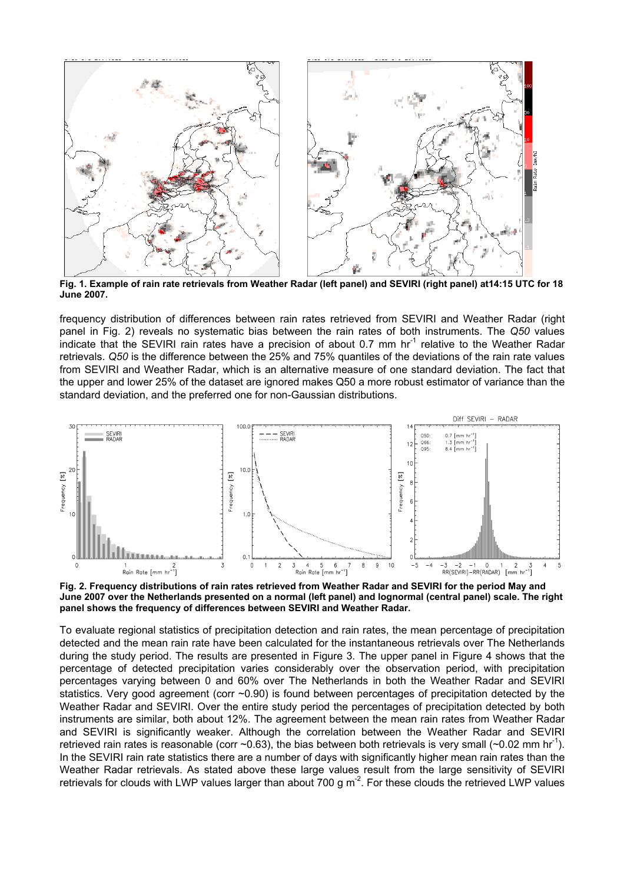

**Fig. 1. Example of rain rate retrievals from Weather Radar (left panel) and SEVIRI (right panel) at14:15 UTC for 18 June 2007.** 

frequency distribution of differences between rain rates retrieved from SEVIRI and Weather Radar (right panel in Fig. 2) reveals no systematic bias between the rain rates of both instruments. The *Q50* values indicate that the SEVIRI rain rates have a precision of about 0.7 mm hr<sup>-1</sup> relative to the Weather Radar retrievals. *Q50* is the difference between the 25% and 75% quantiles of the deviations of the rain rate values from SEVIRI and Weather Radar, which is an alternative measure of one standard deviation. The fact that the upper and lower 25% of the dataset are ignored makes Q50 a more robust estimator of variance than the standard deviation, and the preferred one for non-Gaussian distributions.



**Fig. 2. Frequency distributions of rain rates retrieved from Weather Radar and SEVIRI for the period May and June 2007 over the Netherlands presented on a normal (left panel) and lognormal (central panel) scale. The right panel shows the frequency of differences between SEVIRI and Weather Radar.** 

To evaluate regional statistics of precipitation detection and rain rates, the mean percentage of precipitation detected and the mean rain rate have been calculated for the instantaneous retrievals over The Netherlands during the study period. The results are presented in Figure 3. The upper panel in Figure 4 shows that the percentage of detected precipitation varies considerably over the observation period, with precipitation percentages varying between 0 and 60% over The Netherlands in both the Weather Radar and SEVIRI statistics. Very good agreement (corr ~0.90) is found between percentages of precipitation detected by the Weather Radar and SEVIRI. Over the entire study period the percentages of precipitation detected by both instruments are similar, both about 12%. The agreement between the mean rain rates from Weather Radar and SEVIRI is significantly weaker. Although the correlation between the Weather Radar and SEVIRI retrieved rain rates is reasonable (corr  $\sim$  0.63), the bias between both retrievals is very small ( $\sim$  0.02 mm hr<sup>-1</sup>). In the SEVIRI rain rate statistics there are a number of days with significantly higher mean rain rates than the Weather Radar retrievals. As stated above these large values result from the large sensitivity of SEVIRI retrievals for clouds with LWP values larger than about 700 g m<sup>-2</sup>. For these clouds the retrieved LWP values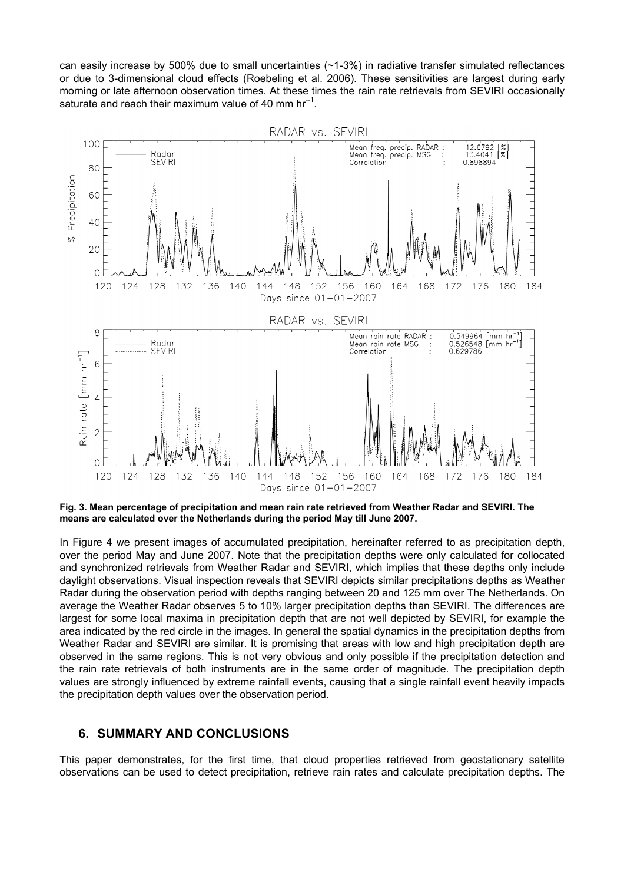can easily increase by 500% due to small uncertainties (~1-3%) in radiative transfer simulated reflectances or due to 3-dimensional cloud effects (Roebeling et al. 2006). These sensitivities are largest during early morning or late afternoon observation times. At these times the rain rate retrievals from SEVIRI occasionally saturate and reach their maximum value of 40 mm  $hr^{-1}$ .



**Fig. 3. Mean percentage of precipitation and mean rain rate retrieved from Weather Radar and SEVIRI. The means are calculated over the Netherlands during the period May till June 2007.** 

In Figure 4 we present images of accumulated precipitation, hereinafter referred to as precipitation depth, over the period May and June 2007. Note that the precipitation depths were only calculated for collocated and synchronized retrievals from Weather Radar and SEVIRI, which implies that these depths only include daylight observations. Visual inspection reveals that SEVIRI depicts similar precipitations depths as Weather Radar during the observation period with depths ranging between 20 and 125 mm over The Netherlands. On average the Weather Radar observes 5 to 10% larger precipitation depths than SEVIRI. The differences are largest for some local maxima in precipitation depth that are not well depicted by SEVIRI, for example the area indicated by the red circle in the images. In general the spatial dynamics in the precipitation depths from Weather Radar and SEVIRI are similar. It is promising that areas with low and high precipitation depth are observed in the same regions. This is not very obvious and only possible if the precipitation detection and the rain rate retrievals of both instruments are in the same order of magnitude. The precipitation depth values are strongly influenced by extreme rainfall events, causing that a single rainfall event heavily impacts the precipitation depth values over the observation period.

### **6. SUMMARY AND CONCLUSIONS**

This paper demonstrates, for the first time, that cloud properties retrieved from geostationary satellite observations can be used to detect precipitation, retrieve rain rates and calculate precipitation depths. The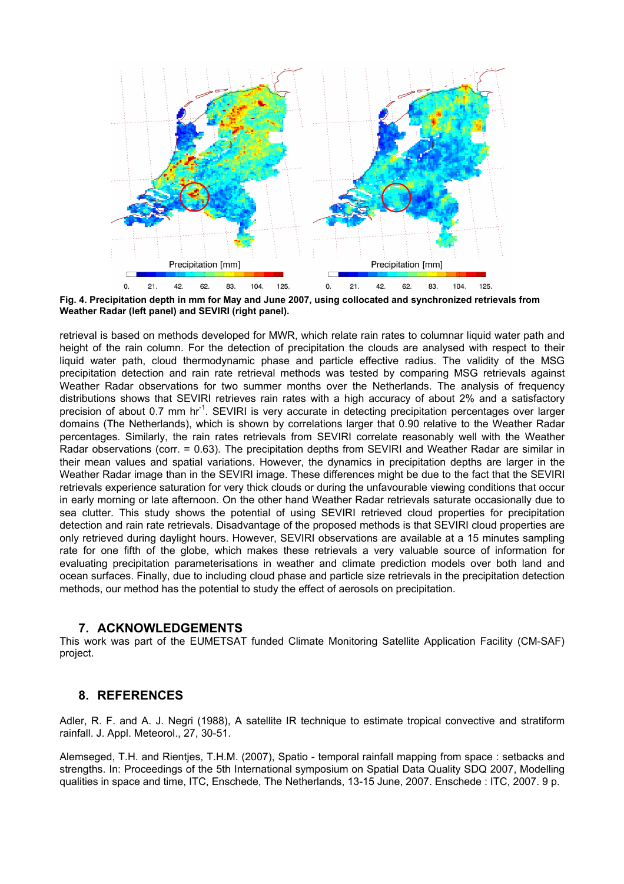

**Fig. 4. Precipitation depth in mm for May and June 2007, using collocated and synchronized retrievals from Weather Radar (left panel) and SEVIRI (right panel).** 

retrieval is based on methods developed for MWR, which relate rain rates to columnar liquid water path and height of the rain column. For the detection of precipitation the clouds are analysed with respect to their liquid water path, cloud thermodynamic phase and particle effective radius. The validity of the MSG precipitation detection and rain rate retrieval methods was tested by comparing MSG retrievals against Weather Radar observations for two summer months over the Netherlands. The analysis of frequency distributions shows that SEVIRI retrieves rain rates with a high accuracy of about 2% and a satisfactory precision of about 0.7 mm hr<sup>-1</sup>. SEVIRI is very accurate in detecting precipitation percentages over larger domains (The Netherlands), which is shown by correlations larger that 0.90 relative to the Weather Radar percentages. Similarly, the rain rates retrievals from SEVIRI correlate reasonably well with the Weather Radar observations (corr. = 0.63). The precipitation depths from SEVIRI and Weather Radar are similar in their mean values and spatial variations. However, the dynamics in precipitation depths are larger in the Weather Radar image than in the SEVIRI image. These differences might be due to the fact that the SEVIRI retrievals experience saturation for very thick clouds or during the unfavourable viewing conditions that occur in early morning or late afternoon. On the other hand Weather Radar retrievals saturate occasionally due to sea clutter. This study shows the potential of using SEVIRI retrieved cloud properties for precipitation detection and rain rate retrievals. Disadvantage of the proposed methods is that SEVIRI cloud properties are only retrieved during daylight hours. However, SEVIRI observations are available at a 15 minutes sampling rate for one fifth of the globe, which makes these retrievals a very valuable source of information for evaluating precipitation parameterisations in weather and climate prediction models over both land and ocean surfaces. Finally, due to including cloud phase and particle size retrievals in the precipitation detection methods, our method has the potential to study the effect of aerosols on precipitation.

#### **7. ACKNOWLEDGEMENTS**

This work was part of the EUMETSAT funded Climate Monitoring Satellite Application Facility (CM-SAF) project.

### **8. REFERENCES**

Adler, R. F. and A. J. Negri (1988), A satellite IR technique to estimate tropical convective and stratiform rainfall. J. Appl. Meteorol., 27, 30-51.

Alemseged, T.H. and Rientjes, T.H.M. (2007), Spatio - temporal rainfall mapping from space : setbacks and strengths. In: Proceedings of the 5th International symposium on Spatial Data Quality SDQ 2007, Modelling qualities in space and time, ITC, Enschede, The Netherlands, 13-15 June, 2007. Enschede : ITC, 2007. 9 p.